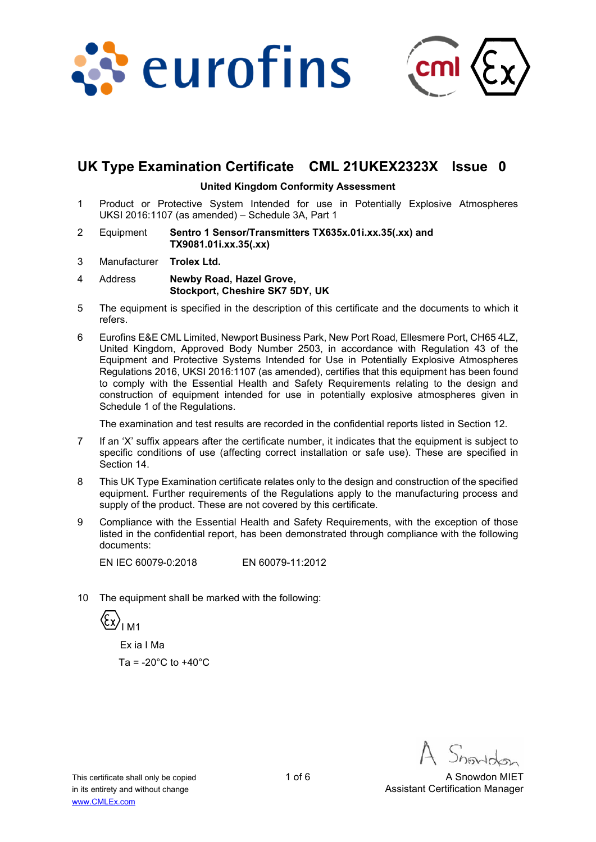



# **UK Type Examination Certificate CML 21UKEX2323X Issue 0**

#### **United Kingdom Conformity Assessment**

- 1 Product or Protective System Intended for use in Potentially Explosive Atmospheres UKSI 2016:1107 (as amended) – Schedule 3A, Part 1
- 2 Equipment **Sentro 1 Sensor/Transmitters TX635x.01i.xx.35(.xx) and TX9081.01i.xx.35(.xx)**
- 3 Manufacturer **Trolex Ltd.**
- 4 Address **Newby Road, Hazel Grove, Stockport, Cheshire SK7 5DY, UK**
- 5 The equipment is specified in the description of this certificate and the documents to which it refers.
- 6 Eurofins E&E CML Limited, Newport Business Park, New Port Road, Ellesmere Port, CH65 4LZ, United Kingdom, Approved Body Number 2503, in accordance with Regulation 43 of the Equipment and Protective Systems Intended for Use in Potentially Explosive Atmospheres Regulations 2016, UKSI 2016:1107 (as amended), certifies that this equipment has been found to comply with the Essential Health and Safety Requirements relating to the design and construction of equipment intended for use in potentially explosive atmospheres given in Schedule 1 of the Regulations.

The examination and test results are recorded in the confidential reports listed in Section 12.

- 7 If an 'X' suffix appears after the certificate number, it indicates that the equipment is subject to specific conditions of use (affecting correct installation or safe use). These are specified in Section 14.
- 8 This UK Type Examination certificate relates only to the design and construction of the specified equipment. Further requirements of the Regulations apply to the manufacturing process and supply of the product. These are not covered by this certificate.
- 9 Compliance with the Essential Health and Safety Requirements, with the exception of those listed in the confidential report, has been demonstrated through compliance with the following documents:

EN IEC 60079-0:2018 EN 60079-11:2012

10 The equipment shall be marked with the following:

 $\langle \xi_x \rangle$ <sub>IM1</sub>

 Ex ia I Ma Ta =  $-20^{\circ}$ C to  $+40^{\circ}$ C

This certificate shall only be copied 1 of 6 A Snowdon MIET in its entirety and without change Assistant Certification Manager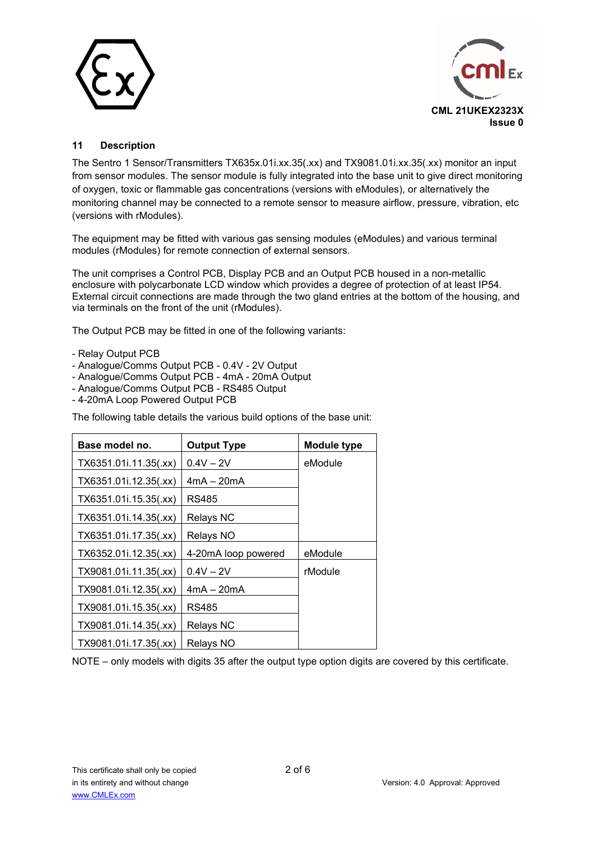



### **11 Description**

The Sentro 1 Sensor/Transmitters TX635x.01i.xx.35(.xx) and TX9081.01i.xx.35(.xx) monitor an input from sensor modules. The sensor module is fully integrated into the base unit to give direct monitoring of oxygen, toxic or flammable gas concentrations (versions with eModules), or alternatively the monitoring channel may be connected to a remote sensor to measure airflow, pressure, vibration, etc (versions with rModules).

The equipment may be fitted with various gas sensing modules (eModules) and various terminal modules (rModules) for remote connection of external sensors.

The unit comprises a Control PCB, Display PCB and an Output PCB housed in a non-metallic enclosure with polycarbonate LCD window which provides a degree of protection of at least IP54. External circuit connections are made through the two gland entries at the bottom of the housing, and via terminals on the front of the unit (rModules).

The Output PCB may be fitted in one of the following variants:

- Relay Output PCB
- Analogue/Comms Output PCB 0.4V 2V Output
- Analogue/Comms Output PCB 4mA 20mA Output
- Analogue/Comms Output PCB RS485 Output
- 4-20mA Loop Powered Output PCB

The following table details the various build options of the base unit:

| Base model no.        | <b>Output Type</b>  | <b>Module type</b> |
|-----------------------|---------------------|--------------------|
| TX6351.01i.11.35(.xx) | $0.4V - 2V$         | eModule            |
| TX6351.01i.12.35(.xx) | $4mA - 20mA$        |                    |
| TX6351.01i.15.35(.xx) | RS485               |                    |
| TX6351.01i.14.35(.xx) | <b>Relays NC</b>    |                    |
| TX6351.01i.17.35(.xx) | Relays NO           |                    |
| TX6352.01i.12.35(.xx) | 4-20mA loop powered | eModule            |
| TX9081.01i.11.35(.xx) | $0.4V - 2V$         | rModule            |
| TX9081.01i.12.35(.xx) | $4mA - 20mA$        |                    |
| TX9081.01i.15.35(.xx) | RS485               |                    |
| TX9081.01i.14.35(.xx) | <b>Relays NC</b>    |                    |
| TX9081.01i.17.35(.xx) | Relays NO           |                    |

NOTE – only models with digits 35 after the output type option digits are covered by this certificate.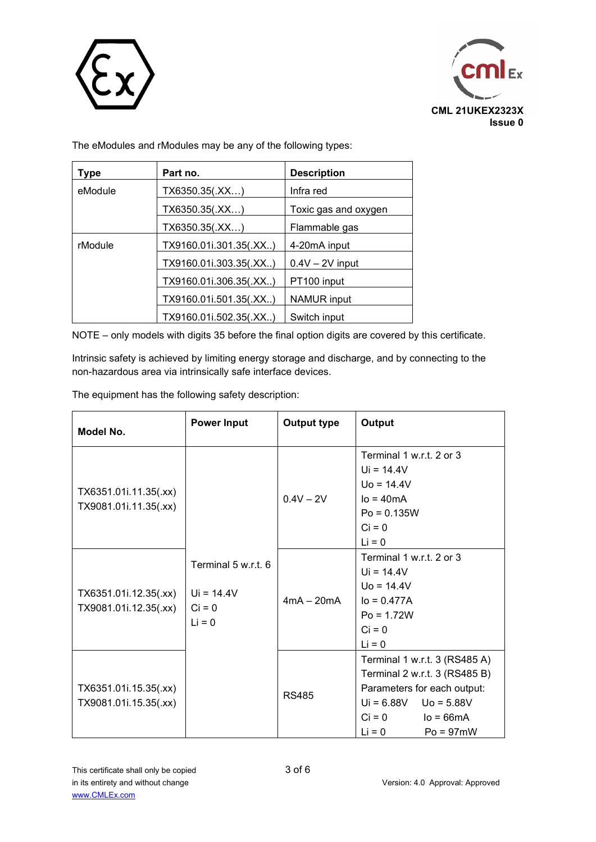



The eModules and rModules may be any of the following types:

| Type    | Part no.               | <b>Description</b>   |
|---------|------------------------|----------------------|
| eModule | TX6350.35(.XX)         | Infra red            |
|         | TX6350.35(.XX)         | Toxic gas and oxygen |
|         | TX6350.35(.XX)         | Flammable gas        |
| rModule | TX9160.01i.301.35(.XX) | 4-20mA input         |
|         | TX9160.01i.303.35(.XX) | $0.4V - 2V$ input    |
|         | TX9160.01i.306.35(.XX) | PT100 input          |
|         | TX9160.01i.501.35(.XX) | <b>NAMUR</b> input   |
|         | TX9160.01i.502.35(.XX) | Switch input         |

NOTE – only models with digits 35 before the final option digits are covered by this certificate.

Intrinsic safety is achieved by limiting energy storage and discharge, and by connecting to the non-hazardous area via intrinsically safe interface devices.

The equipment has the following safety description:

| Model No.                                      | <b>Power Input</b>                                          | Output type  | Output                                                                                                                                                                         |
|------------------------------------------------|-------------------------------------------------------------|--------------|--------------------------------------------------------------------------------------------------------------------------------------------------------------------------------|
| TX6351.01i.11.35(.xx)<br>TX9081.01i.11.35(.xx) | Terminal 5 w.r.t. 6<br>$Ui = 14.4V$<br>$Ci = 0$<br>$Li = 0$ | $0.4V - 2V$  | Terminal 1 w.r.t. 2 or 3<br>$Ui = 14.4V$<br>$U_0 = 14.4V$<br>$IO = 40mA$<br>$Po = 0.135W$<br>$Ci = 0$<br>$Li = 0$                                                              |
| TX6351.01i.12.35(.xx)<br>TX9081.01i.12.35(.xx) |                                                             | $4mA - 20mA$ | Terminal 1 w.r.t. 2 or 3<br>$Ui = 14.4V$<br>$U_0 = 14.4V$<br>$I_0 = 0.477A$<br>$Po = 1.72W$<br>$Ci = 0$<br>$Li = 0$                                                            |
| TX6351.01i.15.35(.xx)<br>TX9081.01i.15.35(.xx) |                                                             | <b>RS485</b> | Terminal 1 w.r.t. 3 (RS485 A)<br>Terminal 2 w.r.t. 3 (RS485 B)<br>Parameters for each output:<br>$Ui = 6.88V$ Uo = 5.88V<br>$Ci = 0$<br>$lo = 66mA$<br>$Li = 0$<br>$Po = 97mW$ |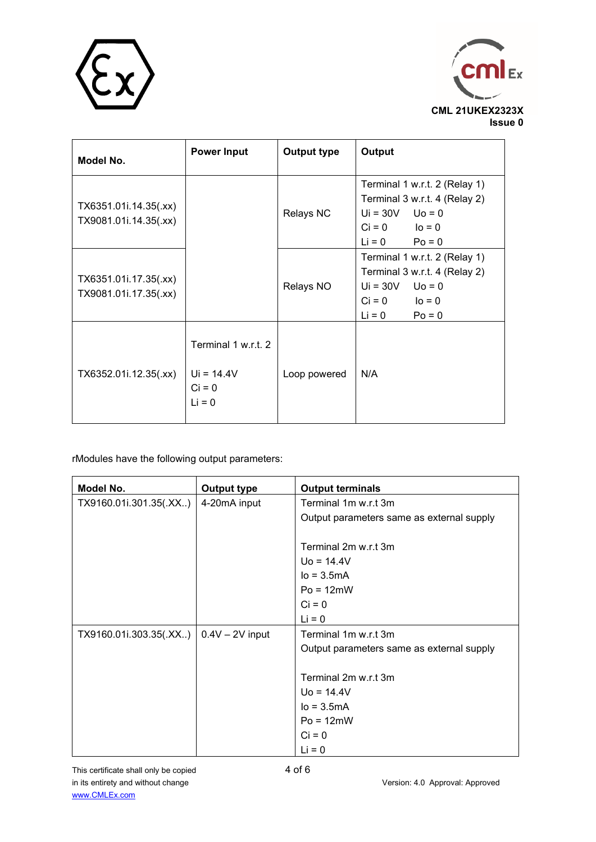



| Model No.                                      | <b>Power Input</b>                                          | <b>Output type</b> | Output                                                                                                                             |
|------------------------------------------------|-------------------------------------------------------------|--------------------|------------------------------------------------------------------------------------------------------------------------------------|
| TX6351.01i.14.35(.xx)<br>TX9081.01i.14.35(.xx) |                                                             | <b>Relays NC</b>   | Terminal 1 w.r.t. 2 (Relay 1)<br>Terminal 3 w.r.t. 4 (Relay 2)<br>$Ui = 30V$ $Uo = 0$<br>$Ci = 0$ $Io = 0$<br>$Li = 0$ Po = 0      |
| TX6351.01i.17.35(.xx)<br>TX9081.01i.17.35(.xx) |                                                             | Relays NO          | Terminal 1 w.r.t. 2 (Relay 1)<br>Terminal 3 w.r.t. 4 (Relay 2)<br>$Ui = 30V$ $Uo = 0$<br>$Ci = 0$ $Io = 0$<br>$Li = 0$<br>$Po = 0$ |
| TX6352.01i.12.35(.xx)                          | Terminal 1 w.r.t. 2<br>$Ui = 14.4V$<br>$Ci = 0$<br>$Li = 0$ | Loop powered       | N/A                                                                                                                                |

rModules have the following output parameters:

| Model No.              | <b>Output type</b> | <b>Output terminals</b>                   |
|------------------------|--------------------|-------------------------------------------|
| TX9160.01i.301.35(.XX) | 4-20mA input       | Terminal 1m w.r.t 3m                      |
|                        |                    | Output parameters same as external supply |
|                        |                    | Terminal 2m w.r.t 3m                      |
|                        |                    | $U_0 = 14.4V$                             |
|                        |                    | $Io = 3.5mA$                              |
|                        |                    | $Po = 12mW$                               |
|                        |                    | $Ci = 0$                                  |
|                        |                    | $Li = 0$                                  |
| TX9160.01i.303.35(.XX) | $0.4V - 2V$ input  | Terminal 1m w.r.t 3m                      |
|                        |                    | Output parameters same as external supply |
|                        |                    |                                           |
|                        |                    | Terminal 2m w.r.t 3m                      |
|                        |                    | $U_0 = 14.4V$                             |
|                        |                    | $Io = 3.5mA$                              |
|                        |                    | $Po = 12mW$                               |
|                        |                    | $Ci = 0$                                  |
|                        |                    | $Li = 0$                                  |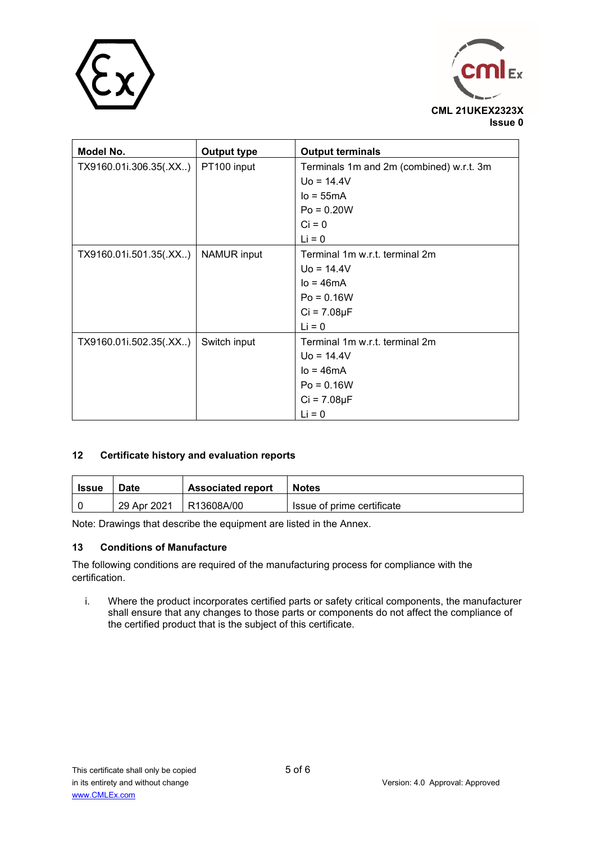



| Model No.              | <b>Output type</b> | <b>Output terminals</b>                  |
|------------------------|--------------------|------------------------------------------|
| TX9160.01i.306.35(.XX) | PT100 input        | Terminals 1m and 2m (combined) w.r.t. 3m |
|                        |                    | $Uo = 14.4V$                             |
|                        |                    | $Io = 55mA$                              |
|                        |                    | $Po = 0.20W$                             |
|                        |                    | $Ci = 0$                                 |
|                        |                    | $Li = 0$                                 |
| TX9160.01i.501.35(.XX) | NAMUR input        | Terminal 1m w.r.t. terminal 2m           |
|                        |                    | $U_0 = 14.4V$                            |
|                        |                    | $Io = 46mA$                              |
|                        |                    | $Po = 0.16W$                             |
|                        |                    | $Ci = 7.08\mu F$                         |
|                        |                    | $Li = 0$                                 |
| TX9160.01i.502.35(.XX) | Switch input       | Terminal 1m w.r.t. terminal 2m           |
|                        |                    | $U_0 = 14.4V$                            |
|                        |                    | $Io = 46mA$                              |
|                        |                    | $Po = 0.16W$                             |
|                        |                    | $Ci = 7.08 \mu F$                        |
|                        |                    | $Li = 0$                                 |

### **12 Certificate history and evaluation reports**

| Issue | Date        | <b>Associated report</b> | <b>Notes</b>               |
|-------|-------------|--------------------------|----------------------------|
|       | 29 Apr 2021 | R13608A/00               | Issue of prime certificate |

Note: Drawings that describe the equipment are listed in the Annex.

#### **13 Conditions of Manufacture**

The following conditions are required of the manufacturing process for compliance with the certification.

i. Where the product incorporates certified parts or safety critical components, the manufacturer shall ensure that any changes to those parts or components do not affect the compliance of the certified product that is the subject of this certificate.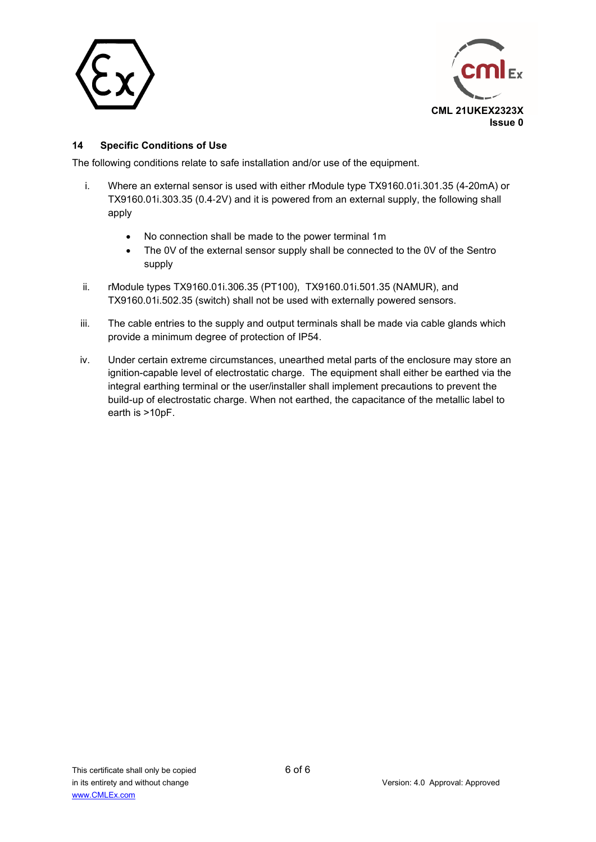



### **14 Specific Conditions of Use**

The following conditions relate to safe installation and/or use of the equipment.

- i. Where an external sensor is used with either rModule type TX9160.01i.301.35 (4-20mA) or TX9160.01i.303.35 (0.4‑2V) and it is powered from an external supply, the following shall apply
	- No connection shall be made to the power terminal 1m
	- The 0V of the external sensor supply shall be connected to the 0V of the Sentro supply
- ii. rModule types TX9160.01i.306.35 (PT100), TX9160.01i.501.35 (NAMUR), and TX9160.01i.502.35 (switch) shall not be used with externally powered sensors.
- iii. The cable entries to the supply and output terminals shall be made via cable glands which provide a minimum degree of protection of IP54.
- iv. Under certain extreme circumstances, unearthed metal parts of the enclosure may store an ignition-capable level of electrostatic charge. The equipment shall either be earthed via the integral earthing terminal or the user/installer shall implement precautions to prevent the build-up of electrostatic charge. When not earthed, the capacitance of the metallic label to earth is >10pF.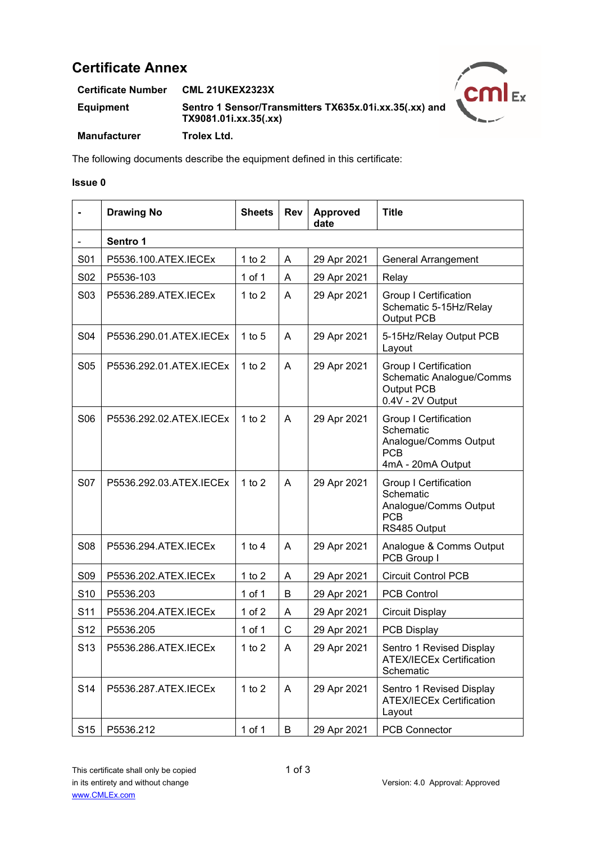# **Certificate Annex**

**Certificate Number CML 21UKEX2323X Equipment Sentro 1 Sensor/Transmitters TX635x.01i.xx.35(.xx) and TX9081.01i.xx.35(.xx) Manufacturer Trolex Ltd.**



The following documents describe the equipment defined in this certificate:

#### **Issue 0**

|                 | <b>Drawing No</b>       | <b>Sheets</b> | <b>Rev</b>   | <b>Approved</b><br>date | <b>Title</b>                                                                                          |
|-----------------|-------------------------|---------------|--------------|-------------------------|-------------------------------------------------------------------------------------------------------|
|                 | Sentro 1                |               |              |                         |                                                                                                       |
| S01             | P5536.100.ATEX.IECEx    | 1 to $2$      | Α            | 29 Apr 2021             | <b>General Arrangement</b>                                                                            |
| S <sub>02</sub> | P5536-103               | 1 of 1        | A            | 29 Apr 2021             | Relay                                                                                                 |
| S03             | P5536.289.ATEX.IECEx    | 1 to $2$      | A            | 29 Apr 2021             | <b>Group I Certification</b><br>Schematic 5-15Hz/Relay<br>Output PCB                                  |
| S04             | P5536.290.01.ATEX.IECEx | 1 to $5$      | A            | 29 Apr 2021             | 5-15Hz/Relay Output PCB<br>Layout                                                                     |
| <b>S05</b>      | P5536.292.01.ATEX.IECEx | 1 to $2$      | A            | 29 Apr 2021             | <b>Group I Certification</b><br><b>Schematic Analogue/Comms</b><br>Output PCB<br>0.4V - 2V Output     |
| S <sub>06</sub> | P5536.292.02.ATEX.IECEx | 1 to $2$      | A            | 29 Apr 2021             | <b>Group I Certification</b><br>Schematic<br>Analogue/Comms Output<br><b>PCB</b><br>4mA - 20mA Output |
| S07             | P5536.292.03.ATEX.IECEx | 1 to $2$      | A            | 29 Apr 2021             | <b>Group I Certification</b><br>Schematic<br>Analogue/Comms Output<br><b>PCB</b><br>RS485 Output      |
| <b>S08</b>      | P5536.294.ATEX.IECEx    | 1 to $4$      | A            | 29 Apr 2021             | Analogue & Comms Output<br>PCB Group I                                                                |
| S <sub>09</sub> | P5536.202.ATEX.IECEx    | 1 to $2$      | A            | 29 Apr 2021             | <b>Circuit Control PCB</b>                                                                            |
| S <sub>10</sub> | P5536.203               | $1$ of $1$    | B            | 29 Apr 2021             | <b>PCB Control</b>                                                                                    |
| S <sub>11</sub> | P5536.204.ATEX.IECEx    | 1 of $2$      | A            | 29 Apr 2021             | <b>Circuit Display</b>                                                                                |
| S <sub>12</sub> | P5536.205               | 1 of 1        | $\mathsf{C}$ | 29 Apr 2021             | <b>PCB Display</b>                                                                                    |
| S <sub>13</sub> | P5536.286.ATEX.IECEx    | $1$ to $2$    | A            | 29 Apr 2021             | Sentro 1 Revised Display<br><b>ATEX/IECEx Certification</b><br>Schematic                              |
| S <sub>14</sub> | P5536.287.ATEX.IECEx    | 1 to $2$      | A            | 29 Apr 2021             | Sentro 1 Revised Display<br><b>ATEX/IECEx Certification</b><br>Layout                                 |
| S <sub>15</sub> | P5536.212               | 1 of 1        | B            | 29 Apr 2021             | <b>PCB Connector</b>                                                                                  |

This certificate shall only be copied 1 of 3 in its entirety and without change Version: 4.0 Approval: Approved www.CMLEx.com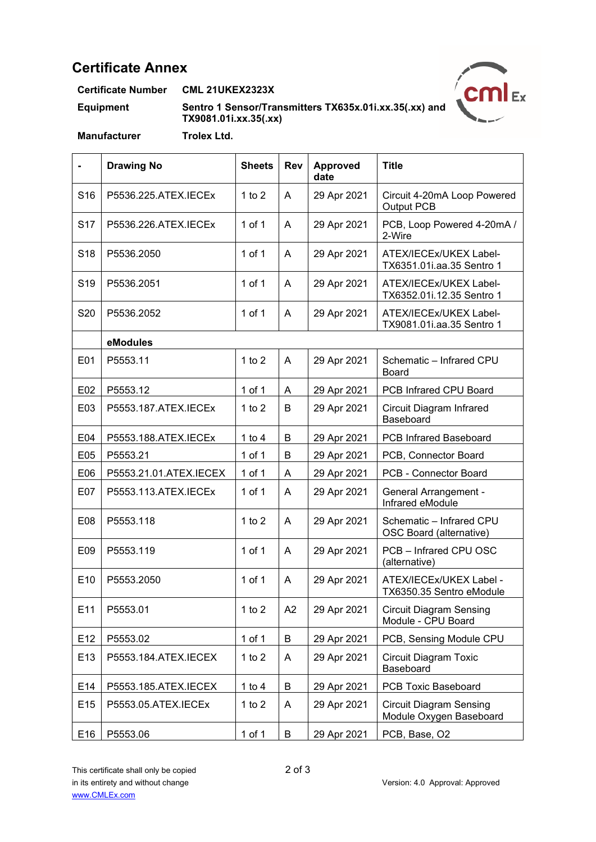# **Certificate Annex**

**Certificate Number CML 21UKEX2323X**

**Equipment Sentro 1 Sensor/Transmitters TX635x.01i.xx.35(.xx) and TX9081.01i.xx.35(.xx)**



**Manufacturer Trolex Ltd.**

|                 | <b>Drawing No</b>      | <b>Sheets</b> | <b>Rev</b>   | <b>Approved</b><br>date | <b>Title</b>                                              |
|-----------------|------------------------|---------------|--------------|-------------------------|-----------------------------------------------------------|
| S <sub>16</sub> | P5536.225.ATEX.IECEx   | 1 to $2$      | A            | 29 Apr 2021             | Circuit 4-20mA Loop Powered<br>Output PCB                 |
| S <sub>17</sub> | P5536.226.ATEX.IECEx   | $1$ of $1$    | A            | 29 Apr 2021             | PCB, Loop Powered 4-20mA /<br>2-Wire                      |
| S <sub>18</sub> | P5536.2050             | $1$ of $1$    | $\mathsf{A}$ | 29 Apr 2021             | ATEX/IECEx/UKEX Label-<br>TX6351.01i.aa.35 Sentro 1       |
| S <sub>19</sub> | P5536.2051             | 1 of 1        | A            | 29 Apr 2021             | ATEX/IECEx/UKEX Label-<br>TX6352.01i.12.35 Sentro 1       |
| S20             | P5536.2052             | 1 of 1        | A            | 29 Apr 2021             | ATEX/IECEx/UKEX Label-<br>TX9081.01i.aa.35 Sentro 1       |
|                 | eModules               |               |              |                         |                                                           |
| E01             | P5553.11               | 1 to $2$      | A            | 29 Apr 2021             | Schematic - Infrared CPU<br><b>Board</b>                  |
| E02             | P5553.12               | 1 of 1        | A            | 29 Apr 2021             | PCB Infrared CPU Board                                    |
| E03             | P5553.187.ATEX.IECEx   | 1 to $2$      | B            | 29 Apr 2021             | Circuit Diagram Infrared<br>Baseboard                     |
| E04             | P5553.188.ATEX.IECEx   | 1 to $4$      | B            | 29 Apr 2021             | <b>PCB Infrared Baseboard</b>                             |
| E05             | P5553.21               | 1 of 1        | B            | 29 Apr 2021             | PCB, Connector Board                                      |
| E06             | P5553.21.01.ATEX.IECEX | 1 of 1        | A            | 29 Apr 2021             | PCB - Connector Board                                     |
| E07             | P5553.113.ATEX.IECEx   | 1 of 1        | A            | 29 Apr 2021             | <b>General Arrangement -</b><br>Infrared eModule          |
| E08             | P5553.118              | 1 to $2$      | $\mathsf{A}$ | 29 Apr 2021             | Schematic - Infrared CPU<br>OSC Board (alternative)       |
| E09             | P5553.119              | 1 of 1        | A            | 29 Apr 2021             | PCB - Infrared CPU OSC<br>(alternative)                   |
| E <sub>10</sub> | P5553.2050             | $1$ of $1$    | A            | 29 Apr 2021             | ATEX/IECEx/UKEX Label -<br>TX6350.35 Sentro eModule       |
| E11             | P5553.01               | 1 to $2$      | A2           | 29 Apr 2021             | <b>Circuit Diagram Sensing</b><br>Module - CPU Board      |
| E12             | P5553.02               | $1$ of $1$    | B            | 29 Apr 2021             | PCB, Sensing Module CPU                                   |
| E13             | P5553.184.ATEX.IECEX   | 1 to $2$      | A            | 29 Apr 2021             | <b>Circuit Diagram Toxic</b><br>Baseboard                 |
| E14             | P5553.185.ATEX.IECEX   | 1 to $4$      | B            | 29 Apr 2021             | PCB Toxic Baseboard                                       |
| E15             | P5553.05.ATEX.IECEx    | 1 to $2$      | A            | 29 Apr 2021             | <b>Circuit Diagram Sensing</b><br>Module Oxygen Baseboard |
| E16             | P5553.06               | $1$ of $1$    | B            | 29 Apr 2021             | PCB, Base, O2                                             |